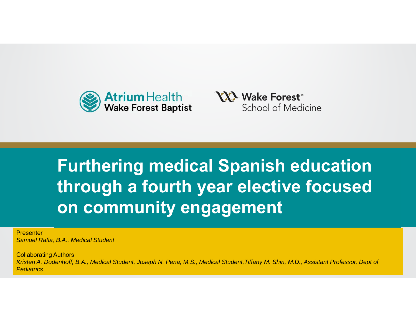



#### **Presentation**<br>Presentation of the sentence in the sense of the sense of the sense of the sense of the sense of the sense of With Subanamant **Furthering medical Spanish education through a fourth year elective focused on community engagement**

**Presenter** *Samuel Rafla, B.A., Medical Student*

Collaborating Authors

conaporaung Authors<br>Kristen A. Dodenhoff, B.A., Medical Student, Joseph N. Pena, M.S., Medical Student,Tiffany M. Shin, M.D., Assistant Professor, Dept of *Pediatrics*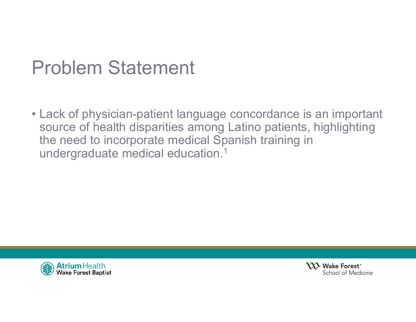## Problem Statement

• Lack of physician-patient language concordance is an important source of health disparities among Latino patients, highlighting the need to incorporate medical Spanish training in undergraduate medical education.1



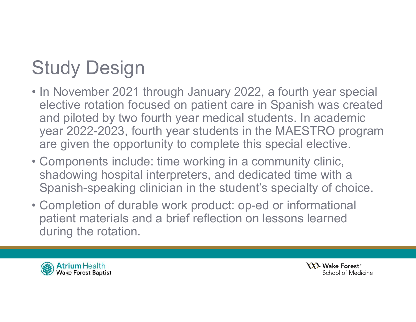# Study Design

- In November 2021 through January 2022, a fourth year special elective rotation focused on patient care in Spanish was created and piloted by two fourth year medical students. In academic year 2022-2023, fourth year students in the MAESTRO program are given the opportunity to complete this special elective.
- Components include: time working in a community clinic, shadowing hospital interpreters, and dedicated time with a Spanish-speaking clinician in the student's specialty of choice.
- Completion of durable work product: op-ed or informational patient materials and a brief reflection on lessons learned during the rotation.



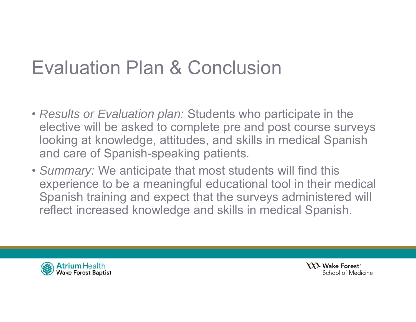## Evaluation Plan & Conclusion

- *Results or Evaluation plan:* Students who participate in the elective will be asked to complete pre and post course surveys looking at knowledge, attitudes, and skills in medical Spanish and care of Spanish-speaking patients.
- *Summary:* We anticipate that most students will find this experience to be a meaningful educational tool in their medical Spanish training and expect that the surveys administered will reflect increased knowledge and skills in medical Spanish.



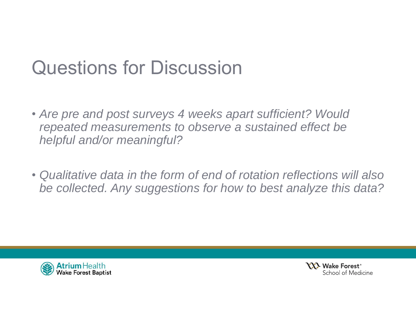## Questions for Discussion

- *Are pre and post surveys 4 weeks apart sufficient? Would repeated measurements to observe a sustained effect be helpful and/or meaningful?*
- *Qualitative data in the form of end of rotation reflections will also be collected. Any suggestions for how to best analyze this data?*